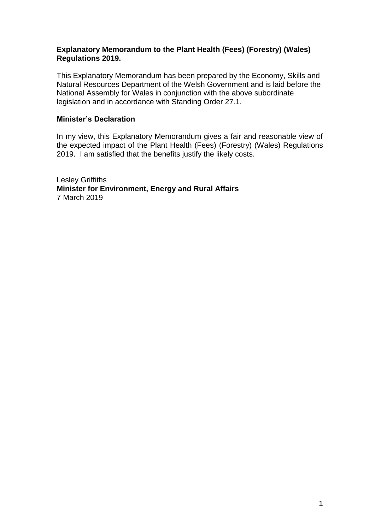### **Explanatory Memorandum to the Plant Health (Fees) (Forestry) (Wales) Regulations 2019.**

This Explanatory Memorandum has been prepared by the Economy, Skills and Natural Resources Department of the Welsh Government and is laid before the National Assembly for Wales in conjunction with the above subordinate legislation and in accordance with Standing Order 27.1.

### **Minister's Declaration**

In my view, this Explanatory Memorandum gives a fair and reasonable view of the expected impact of the Plant Health (Fees) (Forestry) (Wales) Regulations 2019. I am satisfied that the benefits justify the likely costs.

Lesley Griffiths **Minister for Environment, Energy and Rural Affairs** 7 March 2019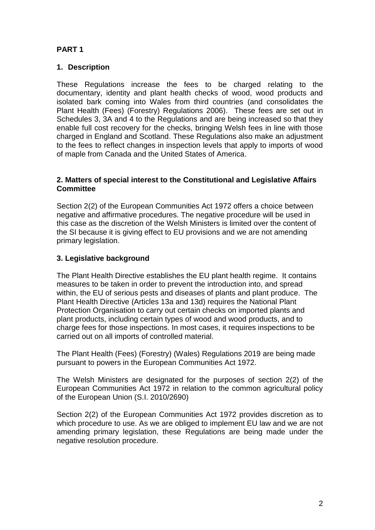# **PART 1**

### **1. Description**

These Regulations increase the fees to be charged relating to the documentary, identity and plant health checks of wood, wood products and isolated bark coming into Wales from third countries (and consolidates the Plant Health (Fees) (Forestry) Regulations 2006). These fees are set out in Schedules 3, 3A and 4 to the Regulations and are being increased so that they enable full cost recovery for the checks, bringing Welsh fees in line with those charged in England and Scotland. These Regulations also make an adjustment to the fees to reflect changes in inspection levels that apply to imports of wood of maple from Canada and the United States of America.

### **2. Matters of special interest to the Constitutional and Legislative Affairs Committee**

Section 2(2) of the European Communities Act 1972 offers a choice between negative and affirmative procedures. The negative procedure will be used in this case as the discretion of the Welsh Ministers is limited over the content of the SI because it is giving effect to EU provisions and we are not amending primary legislation.

## **3. Legislative background**

The Plant Health Directive establishes the EU plant health regime. It contains measures to be taken in order to prevent the introduction into, and spread within, the EU of serious pests and diseases of plants and plant produce. The Plant Health Directive (Articles 13a and 13d) requires the National Plant Protection Organisation to carry out certain checks on imported plants and plant products, including certain types of wood and wood products, and to charge fees for those inspections. In most cases, it requires inspections to be carried out on all imports of controlled material.

The Plant Health (Fees) (Forestry) (Wales) Regulations 2019 are being made pursuant to powers in the European Communities Act 1972.

The Welsh Ministers are designated for the purposes of section 2(2) of the European Communities Act 1972 in relation to the common agricultural policy of the European Union (S.I. 2010/2690)

Section 2(2) of the European Communities Act 1972 provides discretion as to which procedure to use. As we are obliged to implement EU law and we are not amending primary legislation, these Regulations are being made under the negative resolution procedure.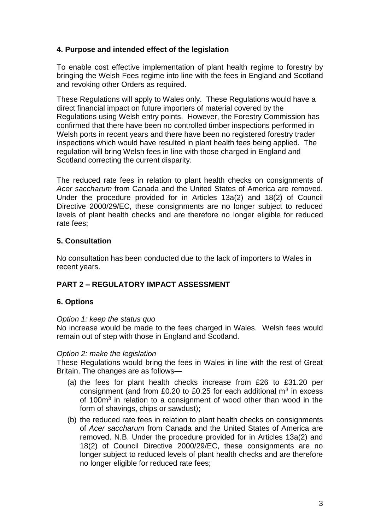### **4. Purpose and intended effect of the legislation**

To enable cost effective implementation of plant health regime to forestry by bringing the Welsh Fees regime into line with the fees in England and Scotland and revoking other Orders as required.

These Regulations will apply to Wales only. These Regulations would have a direct financial impact on future importers of material covered by the Regulations using Welsh entry points.However, the Forestry Commission has confirmed that there have been no controlled timber inspections performed in Welsh ports in recent years and there have been no registered forestry trader inspections which would have resulted in plant health fees being applied. The regulation will bring Welsh fees in line with those charged in England and Scotland correcting the current disparity.

The reduced rate fees in relation to plant health checks on consignments of *Acer saccharum* from Canada and the United States of America are removed. Under the procedure provided for in Articles 13a(2) and 18(2) of Council Directive 2000/29/EC, these consignments are no longer subject to reduced levels of plant health checks and are therefore no longer eligible for reduced rate fees;

## **5. Consultation**

No consultation has been conducted due to the lack of importers to Wales in recent years.

# **PART 2 – REGULATORY IMPACT ASSESSMENT**

# **6. Options**

### *Option 1: keep the status quo*

No increase would be made to the fees charged in Wales. Welsh fees would remain out of step with those in England and Scotland.

### *Option 2: make the legislation*

These Regulations would bring the fees in Wales in line with the rest of Great Britain. The changes are as follows—

- (a) the fees for plant health checks increase from £26 to £31.20 per consignment (and from £0.20 to £0.25 for each additional  $m<sup>3</sup>$  in excess of 100m<sup>3</sup> in relation to a consignment of wood other than wood in the form of shavings, chips or sawdust);
- (b) the reduced rate fees in relation to plant health checks on consignments of *Acer saccharum* from Canada and the United States of America are removed. N.B. Under the procedure provided for in Articles 13a(2) and 18(2) of Council Directive 2000/29/EC, these consignments are no longer subject to reduced levels of plant health checks and are therefore no longer eligible for reduced rate fees;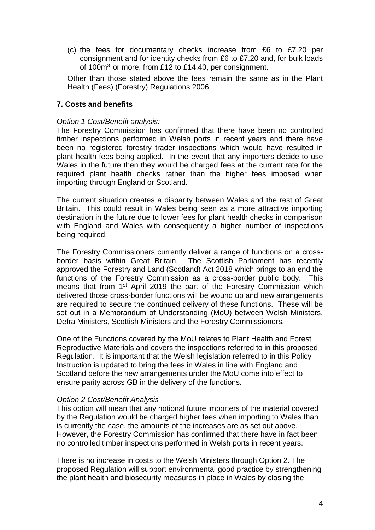(c) the fees for documentary checks increase from £6 to £7.20 per consignment and for identity checks from £6 to £7.20 and, for bulk loads of  $100m<sup>3</sup>$  or more, from £12 to £14.40, per consignment.

Other than those stated above the fees remain the same as in the Plant Health (Fees) (Forestry) Regulations 2006.

### **7. Costs and benefits**

#### *Option 1 Cost/Benefit analysis:*

The Forestry Commission has confirmed that there have been no controlled timber inspections performed in Welsh ports in recent years and there have been no registered forestry trader inspections which would have resulted in plant health fees being applied. In the event that any importers decide to use Wales in the future then they would be charged fees at the current rate for the required plant health checks rather than the higher fees imposed when importing through England or Scotland.

The current situation creates a disparity between Wales and the rest of Great Britain. This could result in Wales being seen as a more attractive importing destination in the future due to lower fees for plant health checks in comparison with England and Wales with consequently a higher number of inspections being required.

The Forestry Commissioners currently deliver a range of functions on a crossborder basis within Great Britain. The Scottish Parliament has recently approved the Forestry and Land (Scotland) Act 2018 which brings to an end the functions of the Forestry Commission as a cross-border public body. This means that from 1st April 2019 the part of the Forestry Commission which delivered those cross-border functions will be wound up and new arrangements are required to secure the continued delivery of these functions. These will be set out in a Memorandum of Understanding (MoU) between Welsh Ministers, Defra Ministers, Scottish Ministers and the Forestry Commissioners.

One of the Functions covered by the MoU relates to Plant Health and Forest Reproductive Materials and covers the inspections referred to in this proposed Regulation. It is important that the Welsh legislation referred to in this Policy Instruction is updated to bring the fees in Wales in line with England and Scotland before the new arrangements under the MoU come into effect to ensure parity across GB in the delivery of the functions.

#### *Option 2 Cost/Benefit Analysis*

This option will mean that any notional future importers of the material covered by the Regulation would be charged higher fees when importing to Wales than is currently the case, the amounts of the increases are as set out above. However, the Forestry Commission has confirmed that there have in fact been no controlled timber inspections performed in Welsh ports in recent years.

There is no increase in costs to the Welsh Ministers through Option 2. The proposed Regulation will support environmental good practice by strengthening the plant health and biosecurity measures in place in Wales by closing the